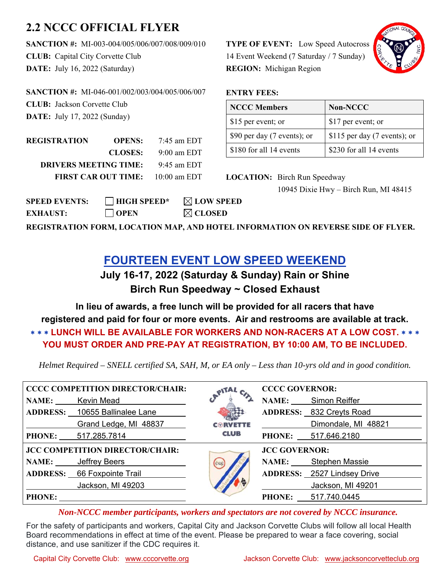## **2.2 NCCC OFFICIAL FLYER**

**SANCTION #:** MI-003-004/005/006/007/008/009/010 **CLUB:** Capital City Corvette Club **DATE:** July 16, 2022 (Saturday)

**SANCTION #:** MI-046-001/002/003/004/005/006/007 **CLUB:** Jackson Corvette Club **DATE:** July 17, 2022 (Sunday)

| REGISTRATION                 | <b>OPENS:</b>              | $7:45$ am EDT  |
|------------------------------|----------------------------|----------------|
|                              | <b>CLOSES:</b>             | $9:00$ am EDT  |
| <b>DRIVERS MEETING TIME:</b> | $9:45$ am EDT              |                |
|                              | <b>FIRST CAR OUT TIME:</b> | $10:00$ am EDT |

**SPEED EVENTS: HIGH SPEED\* LOW SPEED EXHAUST: OPEN CLOSED**

**TYPE OF EVENT:** Low Speed Autocross 14 Event Weekend (7 Saturday / 7 Sunday) **REGION:** Michigan Region



## **ENTRY FEES:**

| <b>NCCC Members</b>         | Non-NCCC                     |
|-----------------------------|------------------------------|
| \$15 per event; or          | \$17 per event; or           |
| \$90 per day (7 events); or | \$115 per day (7 events); or |
| \$180 for all 14 events     | \$230 for all 14 events      |

**LOCATION:** Birch Run Speedway 10945 Dixie Hwy – Birch Run, MI 48415

**REGISTRATION FORM, LOCATION MAP, AND HOTEL INFORMATION ON REVERSE SIDE OF FLYER.**

## **FOURTEEN EVENT LOW SPEED WEEKEND**

**July 16-17, 2022 (Saturday & Sunday) Rain or Shine Birch Run Speedway ~ Closed Exhaust** 

**In lieu of awards, a free lunch will be provided for all racers that have registered and paid for four or more events. Air and restrooms are available at track. LUNCH WILL BE AVAILABLE FOR WORKERS AND NON-RACERS AT A LOW COST. \* \* \* YOU MUST ORDER AND PRE-PAY AT REGISTRATION, BY 10:00 AM, TO BE INCLUDED.** 

*Helmet Required – SNELL certified SA, SAH, M, or EA only – Less than 10-yrs old and in good condition.* 

| <b>CCCC COMPETITION DIRECTOR/CHAIR:</b> |                                | $\sim$ 147 $\sim$ | <b>CCCC GOVERNOR:</b> |                                    |  |
|-----------------------------------------|--------------------------------|-------------------|-----------------------|------------------------------------|--|
|                                         | NAME: Kevin Mead               |                   |                       | NAME: Simon Reiffer                |  |
|                                         | ADDRESS: 10655 Ballinalee Lane |                   |                       | ADDRESS: 832 Creyts Road           |  |
|                                         | Grand Ledge, MI 48837          | $C\odot$ RVETTE   |                       | Dimondale, MI 48821                |  |
|                                         | <b>PHONE:</b> 517.285.7814     | <b>CLUB</b>       |                       | PHONE: 517.646.2180                |  |
| <b>JCC COMPETITION DIRECTOR/CHAIR:</b>  |                                |                   | <b>JCC GOVERNOR:</b>  |                                    |  |
|                                         | NAME: Jeffrey Beers            |                   |                       | NAME: Stephen Massie               |  |
| <b>ADDRESS:</b> 66 Foxpointe Trail      |                                |                   |                       | <b>ADDRESS:</b> 2527 Lindsey Drive |  |
|                                         |                                |                   |                       |                                    |  |
|                                         | Jackson, MI 49203              |                   |                       | Jackson, MI 49201                  |  |

*Non-NCCC member participants, workers and spectators are not covered by NCCC insurance.* 

For the safety of participants and workers, Capital City and Jackson Corvette Clubs will follow all local Health Board recommendations in effect at time of the event. Please be prepared to wear a face covering, social distance, and use sanitizer if the CDC requires it.